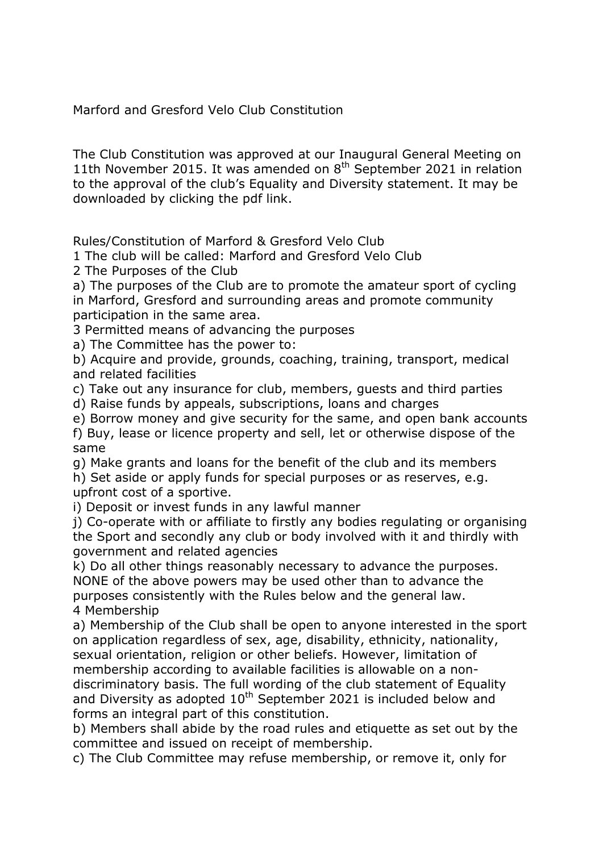Marford and Gresford Velo Club Constitution

The Club Constitution was approved at our Inaugural General Meeting on 11th November 2015. It was amended on  $8<sup>th</sup>$  September 2021 in relation to the approval of the club's Equality and Diversity statement. It may be downloaded by clicking the pdf link.

Rules/Constitution of Marford & Gresford Velo Club

1 The club will be called: Marford and Gresford Velo Club

2 The Purposes of the Club

a) The purposes of the Club are to promote the amateur sport of cycling in Marford, Gresford and surrounding areas and promote community participation in the same area.

3 Permitted means of advancing the purposes

a) The Committee has the power to:

b) Acquire and provide, grounds, coaching, training, transport, medical and related facilities

c) Take out any insurance for club, members, guests and third parties

d) Raise funds by appeals, subscriptions, loans and charges

e) Borrow money and give security for the same, and open bank accounts

f) Buy, lease or licence property and sell, let or otherwise dispose of the same

g) Make grants and loans for the benefit of the club and its members h) Set aside or apply funds for special purposes or as reserves, e.g. upfront cost of a sportive.

i) Deposit or invest funds in any lawful manner

j) Co-operate with or affiliate to firstly any bodies regulating or organising the Sport and secondly any club or body involved with it and thirdly with government and related agencies

k) Do all other things reasonably necessary to advance the purposes. NONE of the above powers may be used other than to advance the purposes consistently with the Rules below and the general law. 4 Membership

a) Membership of the Club shall be open to anyone interested in the sport on application regardless of sex, age, disability, ethnicity, nationality, sexual orientation, religion or other beliefs. However, limitation of membership according to available facilities is allowable on a nondiscriminatory basis. The full wording of the club statement of Equality and Diversity as adopted  $10^{th}$  September 2021 is included below and forms an integral part of this constitution.

b) Members shall abide by the road rules and etiquette as set out by the committee and issued on receipt of membership.

c) The Club Committee may refuse membership, or remove it, only for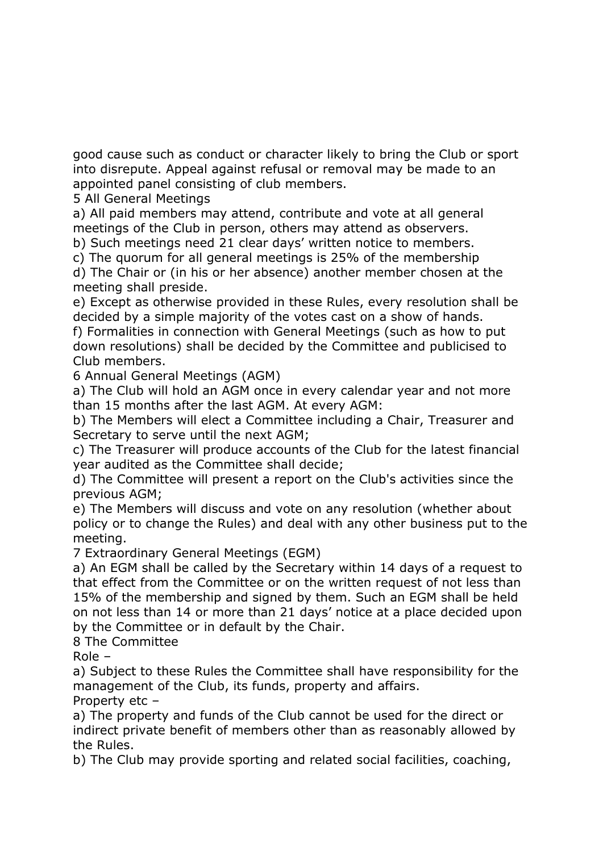good cause such as conduct or character likely to bring the Club or sport into disrepute. Appeal against refusal or removal may be made to an appointed panel consisting of club members.

5 All General Meetings

a) All paid members may attend, contribute and vote at all general meetings of the Club in person, others may attend as observers. b) Such meetings need 21 clear days' written notice to members.

c) The quorum for all general meetings is 25% of the membership

d) The Chair or (in his or her absence) another member chosen at the meeting shall preside.

e) Except as otherwise provided in these Rules, every resolution shall be decided by a simple majority of the votes cast on a show of hands.

f) Formalities in connection with General Meetings (such as how to put down resolutions) shall be decided by the Committee and publicised to Club members.

6 Annual General Meetings (AGM)

a) The Club will hold an AGM once in every calendar year and not more than 15 months after the last AGM. At every AGM:

b) The Members will elect a Committee including a Chair, Treasurer and Secretary to serve until the next AGM;

c) The Treasurer will produce accounts of the Club for the latest financial year audited as the Committee shall decide;

d) The Committee will present a report on the Club's activities since the previous AGM;

e) The Members will discuss and vote on any resolution (whether about policy or to change the Rules) and deal with any other business put to the meeting.

7 Extraordinary General Meetings (EGM)

a) An EGM shall be called by the Secretary within 14 days of a request to that effect from the Committee or on the written request of not less than 15% of the membership and signed by them. Such an EGM shall be held on not less than 14 or more than 21 days' notice at a place decided upon by the Committee or in default by the Chair.

8 The Committee

Role –

a) Subject to these Rules the Committee shall have responsibility for the management of the Club, its funds, property and affairs.

Property etc –

a) The property and funds of the Club cannot be used for the direct or indirect private benefit of members other than as reasonably allowed by the Rules.

b) The Club may provide sporting and related social facilities, coaching,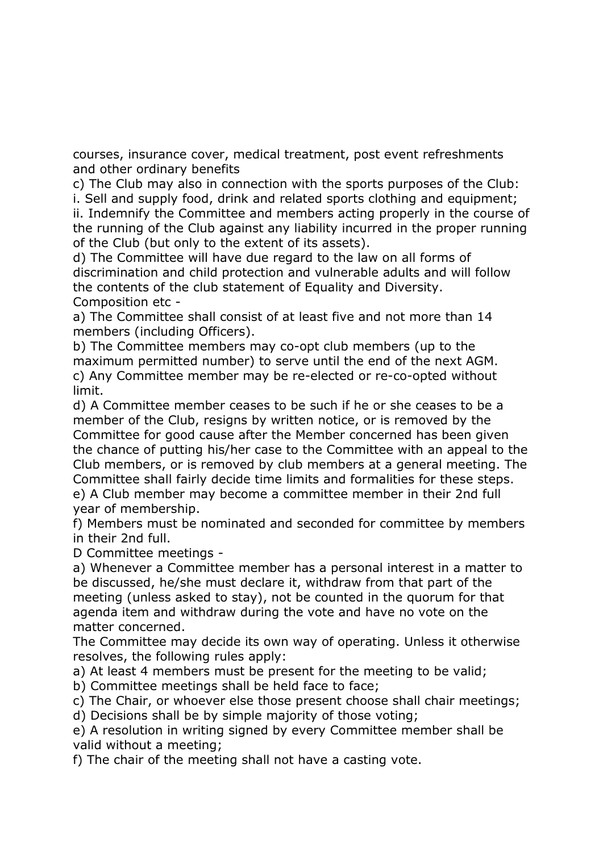courses, insurance cover, medical treatment, post event refreshments and other ordinary benefits

c) The Club may also in connection with the sports purposes of the Club: i. Sell and supply food, drink and related sports clothing and equipment; ii. Indemnify the Committee and members acting properly in the course of the running of the Club against any liability incurred in the proper running of the Club (but only to the extent of its assets).

d) The Committee will have due regard to the law on all forms of discrimination and child protection and vulnerable adults and will follow the contents of the club statement of Equality and Diversity. Composition etc -

a) The Committee shall consist of at least five and not more than 14 members (including Officers).

b) The Committee members may co-opt club members (up to the maximum permitted number) to serve until the end of the next AGM. c) Any Committee member may be re-elected or re-co-opted without limit.

d) A Committee member ceases to be such if he or she ceases to be a member of the Club, resigns by written notice, or is removed by the Committee for good cause after the Member concerned has been given the chance of putting his/her case to the Committee with an appeal to the Club members, or is removed by club members at a general meeting. The Committee shall fairly decide time limits and formalities for these steps. e) A Club member may become a committee member in their 2nd full year of membership.

f) Members must be nominated and seconded for committee by members in their 2nd full.

D Committee meetings -

a) Whenever a Committee member has a personal interest in a matter to be discussed, he/she must declare it, withdraw from that part of the meeting (unless asked to stay), not be counted in the quorum for that agenda item and withdraw during the vote and have no vote on the matter concerned.

The Committee may decide its own way of operating. Unless it otherwise resolves, the following rules apply:

a) At least 4 members must be present for the meeting to be valid;

b) Committee meetings shall be held face to face;

c) The Chair, or whoever else those present choose shall chair meetings;

d) Decisions shall be by simple majority of those voting;

e) A resolution in writing signed by every Committee member shall be valid without a meeting;

f) The chair of the meeting shall not have a casting vote.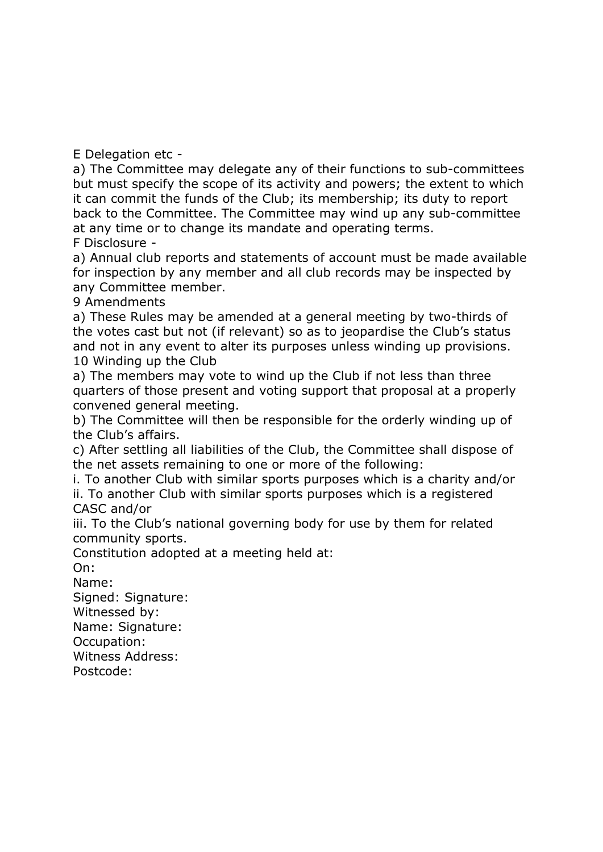E Delegation etc -

a) The Committee may delegate any of their functions to sub-committees but must specify the scope of its activity and powers; the extent to which it can commit the funds of the Club; its membership; its duty to report back to the Committee. The Committee may wind up any sub-committee at any time or to change its mandate and operating terms. F Disclosure -

a) Annual club reports and statements of account must be made available for inspection by any member and all club records may be inspected by any Committee member.

9 Amendments

a) These Rules may be amended at a general meeting by two-thirds of the votes cast but not (if relevant) so as to jeopardise the Club's status and not in any event to alter its purposes unless winding up provisions. 10 Winding up the Club

a) The members may vote to wind up the Club if not less than three quarters of those present and voting support that proposal at a properly convened general meeting.

b) The Committee will then be responsible for the orderly winding up of the Club's affairs.

c) After settling all liabilities of the Club, the Committee shall dispose of the net assets remaining to one or more of the following:

i. To another Club with similar sports purposes which is a charity and/or ii. To another Club with similar sports purposes which is a registered CASC and/or

iii. To the Club's national governing body for use by them for related community sports.

Constitution adopted at a meeting held at:

On:

Name:

Signed: Signature:

Witnessed by:

Name: Signature:

Occupation:

Witness Address:

Postcode: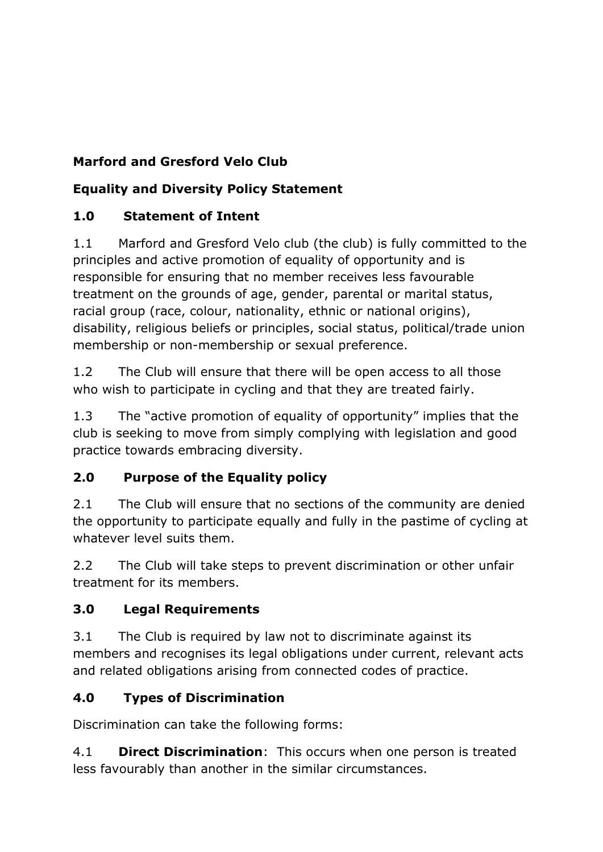# **Marford and Gresford Velo Club**

## **Equality and Diversity Policy Statement**

## **1.0 Statement of Intent**

1.1 Marford and Gresford Velo club (the club) is fully committed to the principles and active promotion of equality of opportunity and is responsible for ensuring that no member receives less favourable treatment on the grounds of age, gender, parental or marital status, racial group (race, colour, nationality, ethnic or national origins), disability, religious beliefs or principles, social status, political/trade union membership or non-membership or sexual preference.

1.2 The Club will ensure that there will be open access to all those who wish to participate in cycling and that they are treated fairly.

1.3 The "active promotion of equality of opportunity" implies that the club is seeking to move from simply complying with legislation and good practice towards embracing diversity.

#### **2.0 Purpose of the Equality policy**

2.1 The Club will ensure that no sections of the community are denied the opportunity to participate equally and fully in the pastime of cycling at whatever level suits them.

2.2 The Club will take steps to prevent discrimination or other unfair treatment for its members.

#### **3.0 Legal Requirements**

3.1 The Club is required by law not to discriminate against its members and recognises its legal obligations under current, relevant acts and related obligations arising from connected codes of practice.

#### **4.0 Types of Discrimination**

Discrimination can take the following forms:

4.1 **Direct Discrimination**: This occurs when one person is treated less favourably than another in the similar circumstances.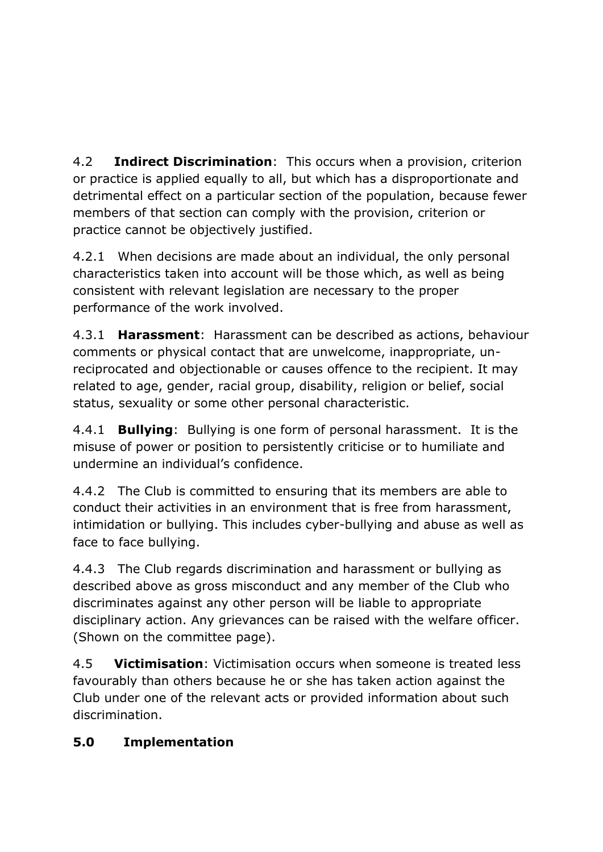4.2 **Indirect Discrimination**: This occurs when a provision, criterion or practice is applied equally to all, but which has a disproportionate and detrimental effect on a particular section of the population, because fewer members of that section can comply with the provision, criterion or practice cannot be objectively justified.

4.2.1 When decisions are made about an individual, the only personal characteristics taken into account will be those which, as well as being consistent with relevant legislation are necessary to the proper performance of the work involved.

4.3.1 **Harassment**: Harassment can be described as actions, behaviour comments or physical contact that are unwelcome, inappropriate, unreciprocated and objectionable or causes offence to the recipient. It may related to age, gender, racial group, disability, religion or belief, social status, sexuality or some other personal characteristic.

4.4.1 **Bullying**: Bullying is one form of personal harassment. It is the misuse of power or position to persistently criticise or to humiliate and undermine an individual's confidence.

4.4.2 The Club is committed to ensuring that its members are able to conduct their activities in an environment that is free from harassment, intimidation or bullying. This includes cyber-bullying and abuse as well as face to face bullying.

4.4.3 The Club regards discrimination and harassment or bullying as described above as gross misconduct and any member of the Club who discriminates against any other person will be liable to appropriate disciplinary action. Any grievances can be raised with the welfare officer. (Shown on the committee page).

4.5 **Victimisation**: Victimisation occurs when someone is treated less favourably than others because he or she has taken action against the Club under one of the relevant acts or provided information about such discrimination.

#### **5.0 Implementation**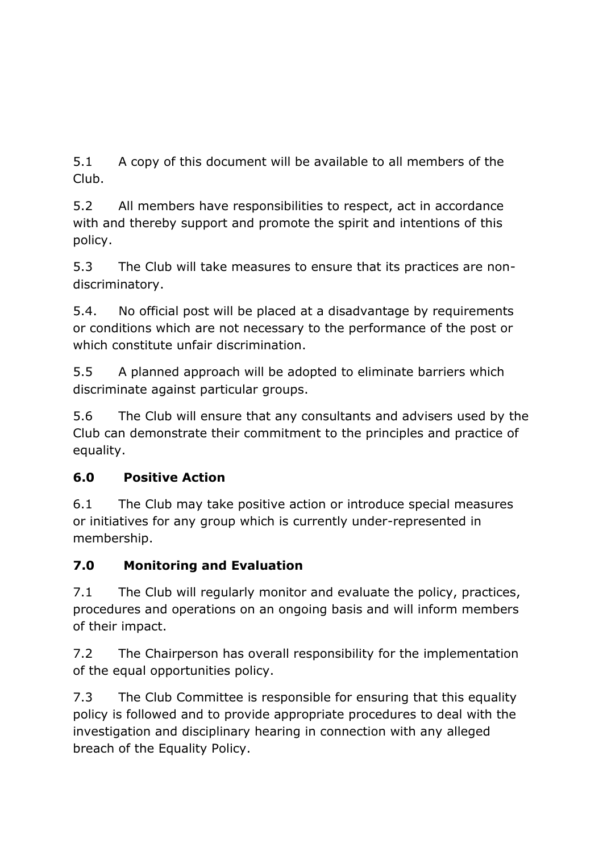5.1 A copy of this document will be available to all members of the Club.

5.2 All members have responsibilities to respect, act in accordance with and thereby support and promote the spirit and intentions of this policy.

5.3 The Club will take measures to ensure that its practices are nondiscriminatory.

5.4. No official post will be placed at a disadvantage by requirements or conditions which are not necessary to the performance of the post or which constitute unfair discrimination.

5.5 A planned approach will be adopted to eliminate barriers which discriminate against particular groups.

5.6 The Club will ensure that any consultants and advisers used by the Club can demonstrate their commitment to the principles and practice of equality.

#### **6.0 Positive Action**

6.1 The Club may take positive action or introduce special measures or initiatives for any group which is currently under-represented in membership.

#### **7.0 Monitoring and Evaluation**

7.1 The Club will regularly monitor and evaluate the policy, practices, procedures and operations on an ongoing basis and will inform members of their impact.

7.2 The Chairperson has overall responsibility for the implementation of the equal opportunities policy.

7.3 The Club Committee is responsible for ensuring that this equality policy is followed and to provide appropriate procedures to deal with the investigation and disciplinary hearing in connection with any alleged breach of the Equality Policy.